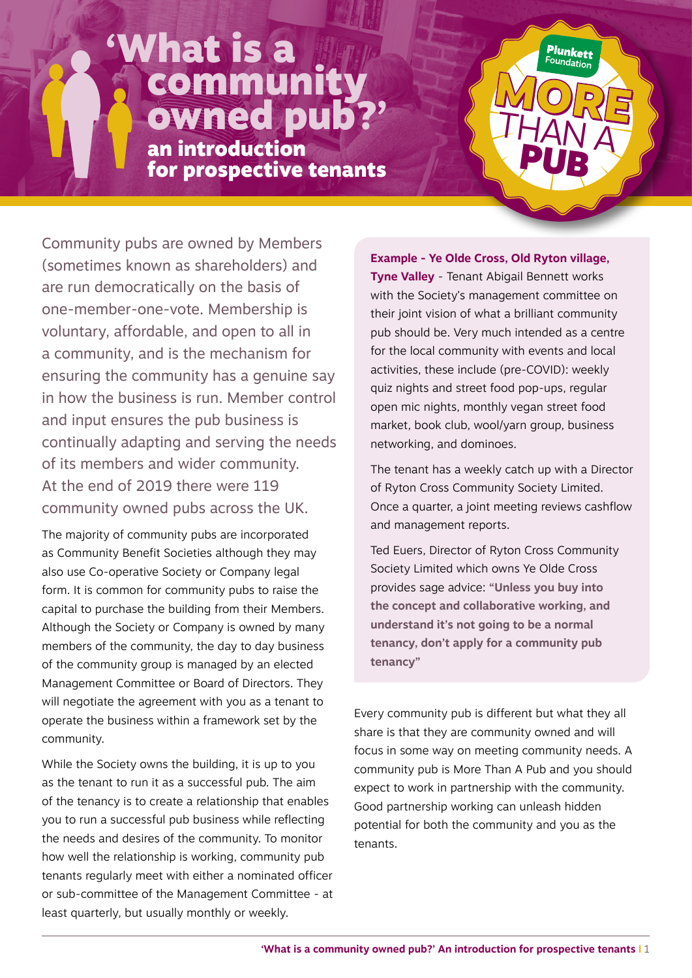## What is a community owned pub?'

an introduction for prospective tenants

Community pubs are owned by Members (sometimes known as shareholders) and are run democratically on the basis of one-member-one-vote. Membership is voluntary, affordable, and open to all in a community, and is the mechanism for ensuring the community has a genuine say in how the business is run. Member control and input ensures the pub business is continually adapting and serving the needs of its members and wider community. At the end of 2019 there were 119 community owned pubs across the UK.

The majority of community pubs are incorporated as Community Benefit Societies although they may also use Co-operative Society or Company legal form. It is common for community pubs to raise the capital to purchase the building from their Members. Although the Society or Company is owned by many members of the community, the day to day business of the community group is managed by an elected Management Committee or Board of Directors. They will negotiate the agreement with you as a tenant to operate the business within a framework set by the community.

While the Society owns the building, it is up to you as the tenant to run it as a successful pub. The aim of the tenancy is to create a relationship that enables you to run a successful pub business while reflecting the needs and desires of the community. To monitor how well the relationship is working, community pub tenants regularly meet with either a nominated officer or sub-committee of the Management Committee - at least quarterly, but usually monthly or weekly.

**Example - Ye Olde Cross, Old Ryton village, Tyne Valley** - Tenant Abigail Bennett works with the Society's management committee on their joint vision of what a brilliant community pub should be. Very much intended as a centre for the local community with events and local activities, these include (pre-COVID): weekly quiz nights and street food pop-ups, regular open mic nights, monthly vegan street food market, book club, wool/yarn group, business networking, and dominoes.

THAN A

Plunkett Foundation

The tenant has a weekly catch up with a Director of Ryton Cross Community Society Limited. Once a quarter, a joint meeting reviews cashflow and management reports.

Ted Euers, Director of Ryton Cross Community Society Limited which owns Ye Olde Cross provides sage advice: **"Unless you buy into the concept and collaborative working, and understand it's not going to be a normal tenancy, don't apply for a community pub tenancy"**

Every community pub is different but what they all share is that they are community owned and will focus in some way on meeting community needs. A community pub is More Than A Pub and you should expect to work in partnership with the community. Good partnership working can unleash hidden potential for both the community and you as the tenants.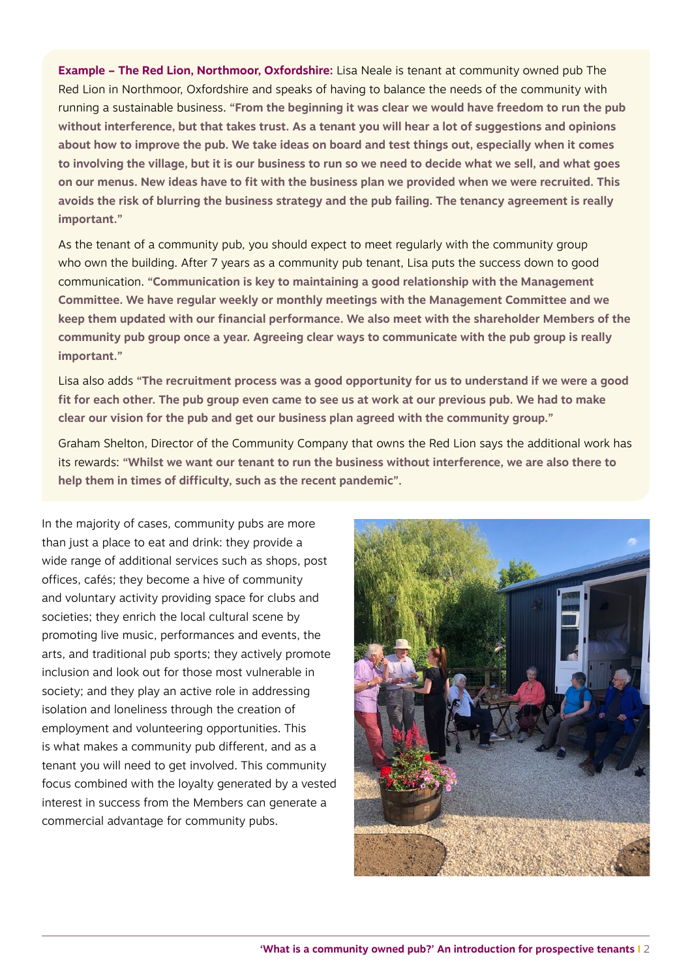**Example – The Red Lion, Northmoor, Oxfordshire:** Lisa Neale is tenant at community owned pub The Red Lion in Northmoor, Oxfordshire and speaks of having to balance the needs of the community with running a sustainable business. **"From the beginning it was clear we would have freedom to run the pub without interference, but that takes trust. As a tenant you will hear a lot of suggestions and opinions about how to improve the pub. We take ideas on board and test things out, especially when it comes to involving the village, but it is our business to run so we need to decide what we sell, and what goes on our menus. New ideas have to fit with the business plan we provided when we were recruited. This avoids the risk of blurring the business strategy and the pub failing. The tenancy agreement is really important."**

As the tenant of a community pub, you should expect to meet regularly with the community group who own the building. After 7 years as a community pub tenant, Lisa puts the success down to good communication. **"Communication is key to maintaining a good relationship with the Management Committee. We have regular weekly or monthly meetings with the Management Committee and we keep them updated with our financial performance. We also meet with the shareholder Members of the community pub group once a year. Agreeing clear ways to communicate with the pub group is really important."**

Lisa also adds **"The recruitment process was a good opportunity for us to understand if we were a good fit for each other. The pub group even came to see us at work at our previous pub. We had to make clear our vision for the pub and get our business plan agreed with the community group."**

Graham Shelton, Director of the Community Company that owns the Red Lion says the additional work has its rewards: **"Whilst we want our tenant to run the business without interference, we are also there to help them in times of difficulty, such as the recent pandemic"**.

In the majority of cases, community pubs are more than just a place to eat and drink: they provide a wide range of additional services such as shops, post offices, cafés; they become a hive of community and voluntary activity providing space for clubs and societies; they enrich the local cultural scene by promoting live music, performances and events, the arts, and traditional pub sports; they actively promote inclusion and look out for those most vulnerable in society; and they play an active role in addressing isolation and loneliness through the creation of employment and volunteering opportunities. This is what makes a community pub different, and as a tenant you will need to get involved. This community focus combined with the loyalty generated by a vested interest in success from the Members can generate a commercial advantage for community pubs.

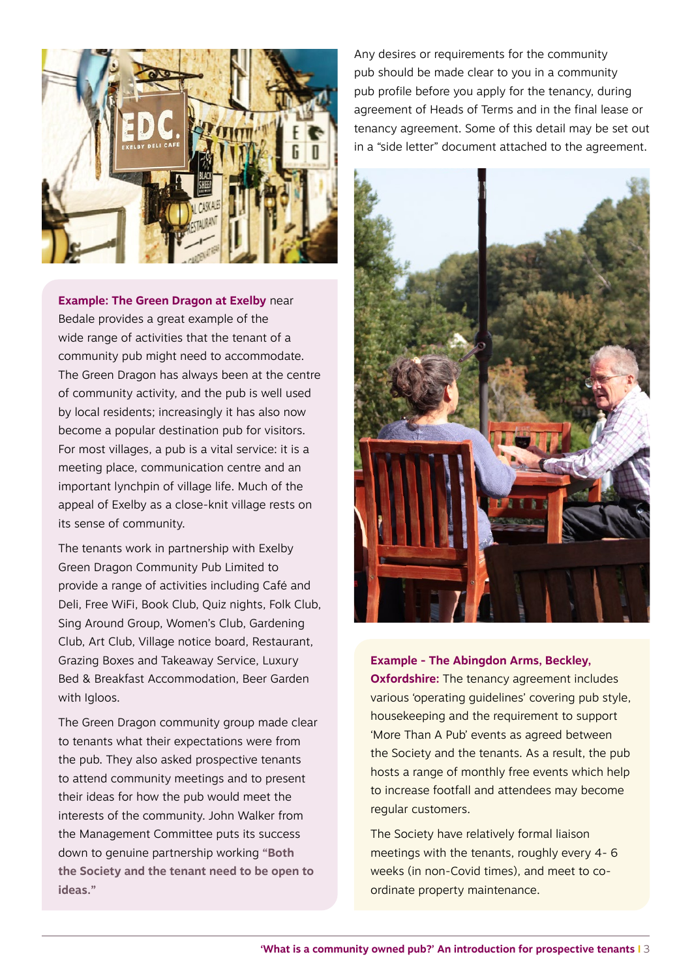

**Example: The Green Dragon at Exelby** near Bedale provides a great example of the wide range of activities that the tenant of a community pub might need to accommodate. The Green Dragon has always been at the centre of community activity, and the pub is well used by local residents; increasingly it has also now become a popular destination pub for visitors. For most villages, a pub is a vital service: it is a meeting place, communication centre and an important lynchpin of village life. Much of the appeal of Exelby as a close-knit village rests on its sense of community.

The tenants work in partnership with Exelby Green Dragon Community Pub Limited to provide a range of activities including Café and Deli, Free WiFi, Book Club, Quiz nights, Folk Club, Sing Around Group, Women's Club, Gardening Club, Art Club, Village notice board, Restaurant, Grazing Boxes and Takeaway Service, Luxury Bed & Breakfast Accommodation, Beer Garden with Igloos.

The Green Dragon community group made clear to tenants what their expectations were from the pub. They also asked prospective tenants to attend community meetings and to present their ideas for how the pub would meet the interests of the community. John Walker from the Management Committee puts its success down to genuine partnership working **"Both the Society and the tenant need to be open to ideas."**

Any desires or requirements for the community pub should be made clear to you in a community pub profile before you apply for the tenancy, during agreement of Heads of Terms and in the final lease or tenancy agreement. Some of this detail may be set out in a "side letter" document attached to the agreement.



**Example - The Abingdon Arms, Beckley, Oxfordshire:** The tenancy agreement includes various 'operating guidelines' covering pub style, housekeeping and the requirement to support 'More Than A Pub' events as agreed between the Society and the tenants. As a result, the pub hosts a range of monthly free events which help to increase footfall and attendees may become regular customers.

The Society have relatively formal liaison meetings with the tenants, roughly every 4- 6 weeks (in non-Covid times), and meet to coordinate property maintenance.